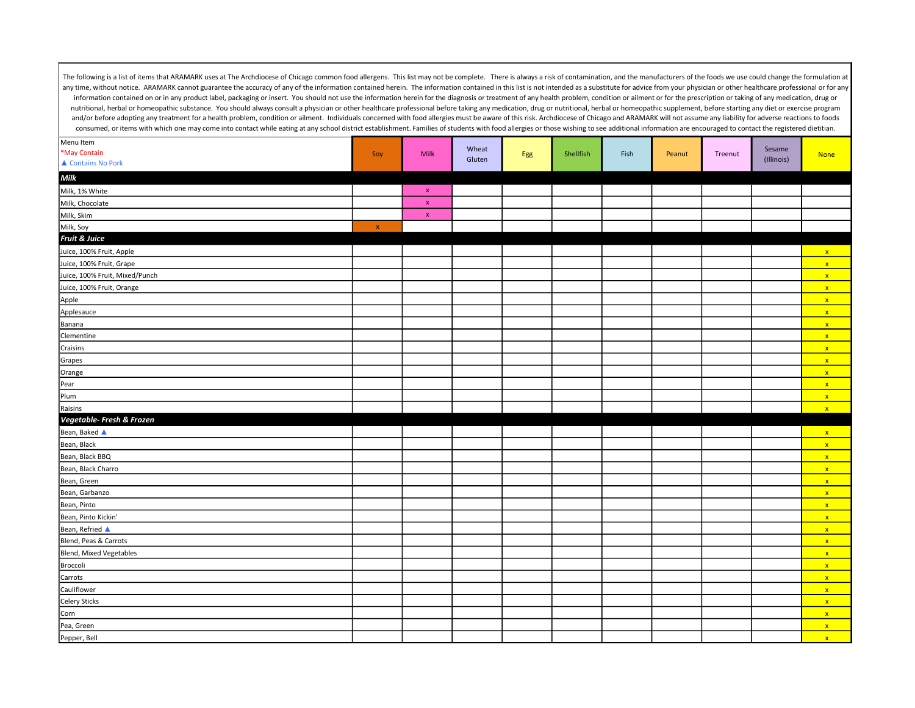| Menu Item                      |                |             |                 |     |           |      |        |         |                      |              |
|--------------------------------|----------------|-------------|-----------------|-----|-----------|------|--------|---------|----------------------|--------------|
| *May Contain                   | Soy            | <b>Milk</b> | Wheat<br>Gluten | Egg | Shellfish | Fish | Peanut | Treenut | Sesame<br>(Illinois) | <b>None</b>  |
| ▲ Contains No Pork             |                |             |                 |     |           |      |        |         |                      |              |
| $\textit{Milk}$                |                |             |                 |     |           |      |        |         |                      |              |
| Milk, 1% White                 |                | $\mathbf x$ |                 |     |           |      |        |         |                      |              |
| Milk, Chocolate                |                | $\mathbf x$ |                 |     |           |      |        |         |                      |              |
| Milk, Skim                     |                | $\mathsf X$ |                 |     |           |      |        |         |                      |              |
| Milk, Soy                      | $\pmb{\times}$ |             |                 |     |           |      |        |         |                      |              |
| Fruit & Juice                  |                |             |                 |     |           |      |        |         |                      |              |
| Juice, 100% Fruit, Apple       |                |             |                 |     |           |      |        |         |                      | $\mathbf{x}$ |
| Juice, 100% Fruit, Grape       |                |             |                 |     |           |      |        |         |                      | $\mathbf{x}$ |
| Juice, 100% Fruit, Mixed/Punch |                |             |                 |     |           |      |        |         |                      | $\mathbf{x}$ |
| Juice, 100% Fruit, Orange      |                |             |                 |     |           |      |        |         |                      | $\mathbf{x}$ |
| Apple                          |                |             |                 |     |           |      |        |         |                      | $\mathbf{x}$ |
| Applesauce                     |                |             |                 |     |           |      |        |         |                      | $\mathbf{x}$ |
| Banana                         |                |             |                 |     |           |      |        |         |                      | $\mathbf{x}$ |
| Clementine                     |                |             |                 |     |           |      |        |         |                      | $\mathbf{x}$ |
| Craisins                       |                |             |                 |     |           |      |        |         |                      | $\mathbf{x}$ |
| Grapes                         |                |             |                 |     |           |      |        |         |                      | $\mathbf{x}$ |
| Orange                         |                |             |                 |     |           |      |        |         |                      | $\mathbf{x}$ |
| Pear                           |                |             |                 |     |           |      |        |         |                      | $\mathbf{x}$ |
| Plum                           |                |             |                 |     |           |      |        |         |                      | $\mathbf{x}$ |
| Raisins                        |                |             |                 |     |           |      |        |         |                      | $\mathbf{x}$ |
| Vegetable- Fresh & Frozen      |                |             |                 |     |           |      |        |         |                      |              |
| Bean, Baked ▲                  |                |             |                 |     |           |      |        |         |                      | $\mathbf{x}$ |
| Bean, Black                    |                |             |                 |     |           |      |        |         |                      | $\mathbf{x}$ |
| Bean, Black BBQ                |                |             |                 |     |           |      |        |         |                      | $\mathbf{x}$ |
| Bean, Black Charro             |                |             |                 |     |           |      |        |         |                      | $\mathbf{x}$ |
| Bean, Green                    |                |             |                 |     |           |      |        |         |                      | $\mathbf{x}$ |
| Bean, Garbanzo                 |                |             |                 |     |           |      |        |         |                      | $\mathbf{x}$ |
| Bean, Pinto                    |                |             |                 |     |           |      |        |         |                      | $\mathbf{x}$ |
| Bean, Pinto Kickin'            |                |             |                 |     |           |      |        |         |                      | $\mathbf{x}$ |
| Bean, Refried ▲                |                |             |                 |     |           |      |        |         |                      | $\mathbf{x}$ |
| Blend, Peas & Carrots          |                |             |                 |     |           |      |        |         |                      | $\mathbf{x}$ |
| Blend, Mixed Vegetables        |                |             |                 |     |           |      |        |         |                      | $\mathbf{x}$ |
| Broccoli                       |                |             |                 |     |           |      |        |         |                      | $\mathbf{x}$ |
| Carrots                        |                |             |                 |     |           |      |        |         |                      | $\mathbf{x}$ |
| Cauliflower                    |                |             |                 |     |           |      |        |         |                      | $\mathbf{x}$ |
| <b>Celery Sticks</b>           |                |             |                 |     |           |      |        |         |                      | $\mathbf{x}$ |
| Corn                           |                |             |                 |     |           |      |        |         |                      | $\mathbf{x}$ |
| Pea, Green                     |                |             |                 |     |           |      |        |         |                      | $\mathbf{x}$ |
| Pepper, Bell                   |                |             |                 |     |           |      |        |         |                      | $\mathbf{x}$ |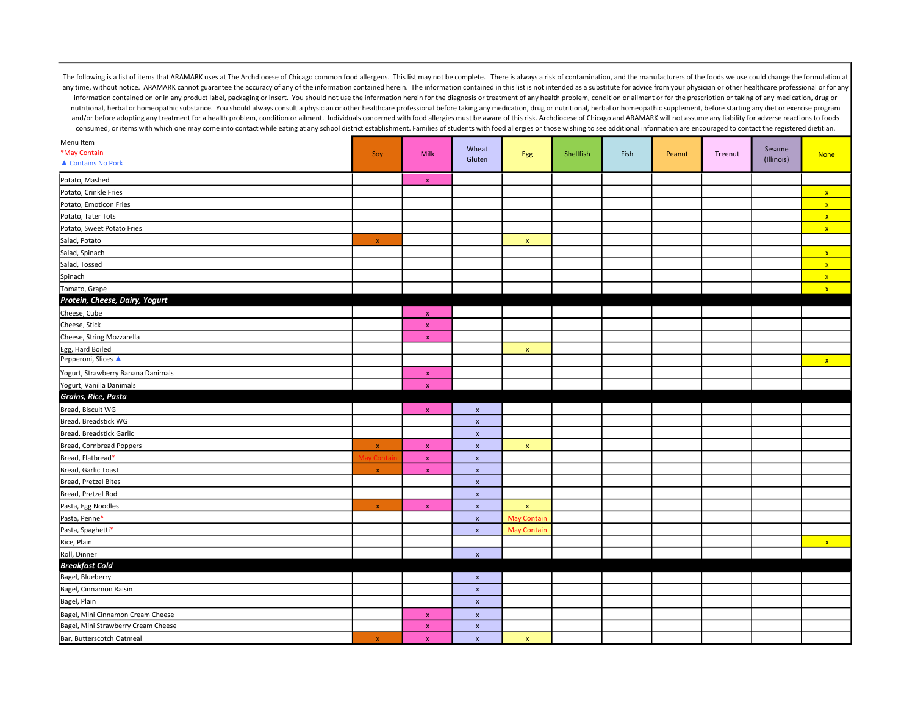| Menu Item                           |              |                    | Wheat              |                    |           |      |        |         | Sesame     |              |
|-------------------------------------|--------------|--------------------|--------------------|--------------------|-----------|------|--------|---------|------------|--------------|
| *May Contain                        | Soy          | Milk               | Gluten             | Egg                | Shellfish | Fish | Peanut | Treenut | (Illinois) | <b>None</b>  |
| ▲ Contains No Pork                  |              |                    |                    |                    |           |      |        |         |            |              |
| Potato, Mashed                      |              | $\mathbf{x}$       |                    |                    |           |      |        |         |            |              |
| Potato, Crinkle Fries               |              |                    |                    |                    |           |      |        |         |            | $\mathbf{x}$ |
| Potato, Emoticon Fries              |              |                    |                    |                    |           |      |        |         |            | $\mathbf{x}$ |
| Potato, Tater Tots                  |              |                    |                    |                    |           |      |        |         |            | $\mathbf{x}$ |
| Potato, Sweet Potato Fries          |              |                    |                    |                    |           |      |        |         |            | $\mathbf{x}$ |
| Salad, Potato                       | $\mathbf x$  |                    |                    | $\mathbf x$        |           |      |        |         |            |              |
| Salad, Spinach                      |              |                    |                    |                    |           |      |        |         |            | $\mathbf{x}$ |
| Salad, Tossed                       |              |                    |                    |                    |           |      |        |         |            | $\mathbf{x}$ |
| Spinach                             |              |                    |                    |                    |           |      |        |         |            | $\mathbf{x}$ |
| Tomato, Grape                       |              |                    |                    |                    |           |      |        |         |            | $\mathbf{x}$ |
| Protein, Cheese, Dairy, Yogurt      |              |                    |                    |                    |           |      |        |         |            |              |
| Cheese, Cube                        |              | $\mathbf{x}$       |                    |                    |           |      |        |         |            |              |
| Cheese, Stick                       |              | $\mathbf x$        |                    |                    |           |      |        |         |            |              |
| Cheese, String Mozzarella           |              | $\pmb{\chi}$       |                    |                    |           |      |        |         |            |              |
| Egg, Hard Boiled                    |              |                    |                    | $\pmb{\mathsf{x}}$ |           |      |        |         |            |              |
| Pepperoni, Slices ▲                 |              |                    |                    |                    |           |      |        |         |            | $\mathbf{x}$ |
| Yogurt, Strawberry Banana Danimals  |              | $\pmb{\chi}$       |                    |                    |           |      |        |         |            |              |
| Yogurt, Vanilla Danimals            |              | $\mathbf x$        |                    |                    |           |      |        |         |            |              |
| Grains, Rice, Pasta                 |              |                    |                    |                    |           |      |        |         |            |              |
| Bread, Biscuit WG                   |              | $\mathbf x$        | $\pmb{\mathsf{x}}$ |                    |           |      |        |         |            |              |
| Bread, Breadstick WG                |              |                    | $\pmb{\mathsf{x}}$ |                    |           |      |        |         |            |              |
| Bread, Breadstick Garlic            |              |                    | $\pmb{\mathsf{x}}$ |                    |           |      |        |         |            |              |
| Bread, Cornbread Poppers            | $\mathbf x$  | $\mathbf x$        | $\pmb{\mathsf{x}}$ | $\mathbf x$        |           |      |        |         |            |              |
| Bread, Flatbread*                   |              | $\mathbf x$        | $\pmb{\mathsf{x}}$ |                    |           |      |        |         |            |              |
| Bread, Garlic Toast                 | $\mathbf x$  | $\mathbf{x}$       | $\mathbf{x}$       |                    |           |      |        |         |            |              |
| Bread, Pretzel Bites                |              |                    | $\pmb{\mathsf{x}}$ |                    |           |      |        |         |            |              |
| Bread, Pretzel Rod                  |              |                    | $\pmb{\mathsf{x}}$ |                    |           |      |        |         |            |              |
| Pasta, Egg Noodles                  | $\mathbf x$  | $\mathbf{x}$       | $\pmb{\mathsf{x}}$ | $\mathsf X$        |           |      |        |         |            |              |
| Pasta, Penne*                       |              |                    | $\pmb{\mathsf{x}}$ | <b>May Contain</b> |           |      |        |         |            |              |
| Pasta, Spaghetti*                   |              |                    | $\pmb{\mathsf{x}}$ | <b>May Contain</b> |           |      |        |         |            |              |
| Rice, Plain                         |              |                    |                    |                    |           |      |        |         |            | $\mathbf{x}$ |
| Roll, Dinner                        |              |                    | $\pmb{\mathsf{x}}$ |                    |           |      |        |         |            |              |
| <b>Breakfast Cold</b>               |              |                    |                    |                    |           |      |        |         |            |              |
| Bagel, Blueberry                    |              |                    | $\pmb{\mathsf{x}}$ |                    |           |      |        |         |            |              |
| Bagel, Cinnamon Raisin              |              |                    | $\pmb{\mathsf{x}}$ |                    |           |      |        |         |            |              |
| Bagel, Plain                        |              |                    | $\pmb{\mathsf{x}}$ |                    |           |      |        |         |            |              |
| Bagel, Mini Cinnamon Cream Cheese   |              | $\mathbf{x}$       | $\pmb{\mathsf{x}}$ |                    |           |      |        |         |            |              |
| Bagel, Mini Strawberry Cream Cheese |              | $\mathbf{x}$       | $\pmb{\mathsf{x}}$ |                    |           |      |        |         |            |              |
| Bar, Butterscotch Oatmeal           | $\pmb{\chi}$ | $\pmb{\mathsf{x}}$ | $\pmb{\mathsf{x}}$ | $\pmb{\mathsf{x}}$ |           |      |        |         |            |              |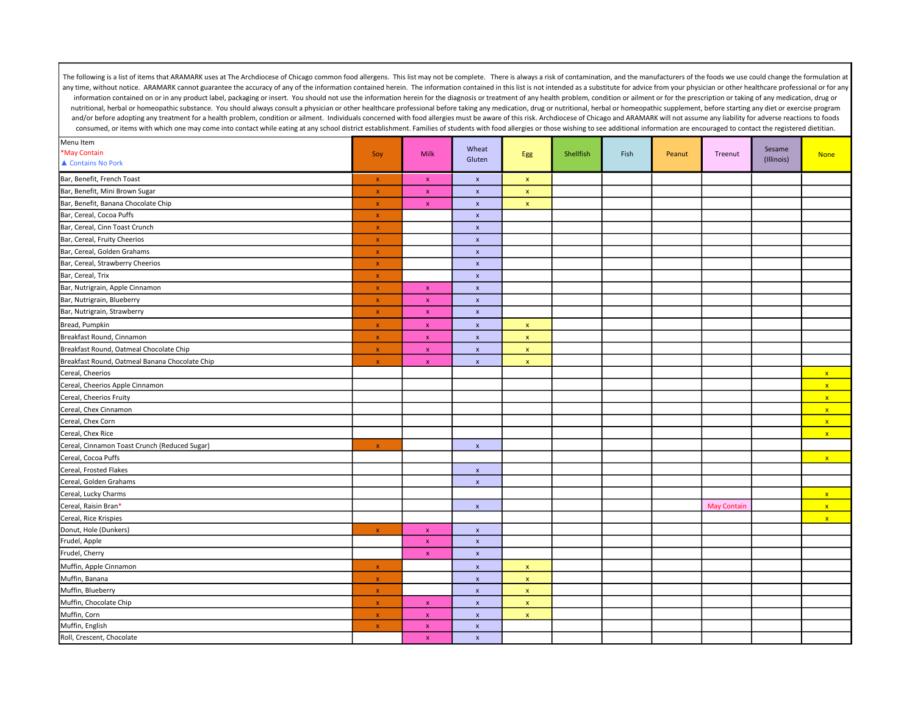| Menu Item                                      |              |                    | Wheat              |                    |           |      |        |                    | Sesame     |              |
|------------------------------------------------|--------------|--------------------|--------------------|--------------------|-----------|------|--------|--------------------|------------|--------------|
| *May Contain                                   | Soy          | Milk               | Gluten             | Egg                | Shellfish | Fish | Peanut | Treenut            | (Illinois) | <b>None</b>  |
| ▲ Contains No Pork                             |              |                    |                    |                    |           |      |        |                    |            |              |
| Bar, Benefit, French Toast                     | $\mathbf x$  | $\pmb{\chi}$       | $\pmb{\mathsf{x}}$ | $\mathbf x$        |           |      |        |                    |            |              |
| Bar, Benefit, Mini Brown Sugar                 | $\mathbf x$  | $\mathbf x$        | $\pmb{\mathsf{x}}$ | $\pmb{\mathsf{x}}$ |           |      |        |                    |            |              |
| Bar, Benefit, Banana Chocolate Chip            | $\pmb{\chi}$ | $\mathbf x$        | $\pmb{\chi}$       | $\pmb{\chi}$       |           |      |        |                    |            |              |
| Bar, Cereal, Cocoa Puffs                       | $\mathbf x$  |                    | $\pmb{\mathsf{x}}$ |                    |           |      |        |                    |            |              |
| Bar, Cereal, Cinn Toast Crunch                 | $\pmb{\chi}$ |                    | $\pmb{\mathsf{x}}$ |                    |           |      |        |                    |            |              |
| Bar, Cereal, Fruity Cheerios                   | $\mathbf{x}$ |                    | $\mathbf{x}$       |                    |           |      |        |                    |            |              |
| Bar, Cereal, Golden Grahams                    | $\mathbf x$  |                    | $\pmb{\mathsf{x}}$ |                    |           |      |        |                    |            |              |
| Bar, Cereal, Strawberry Cheerios               | $\mathbf x$  |                    | $\pmb{\mathsf{x}}$ |                    |           |      |        |                    |            |              |
| Bar, Cereal, Trix                              | $\mathbf{x}$ |                    | $\pmb{\mathsf{x}}$ |                    |           |      |        |                    |            |              |
| Bar, Nutrigrain, Apple Cinnamon                | $\pmb{\chi}$ | $\pmb{\chi}$       | $\pmb{\mathsf{x}}$ |                    |           |      |        |                    |            |              |
| Bar, Nutrigrain, Blueberry                     | $\pmb{\chi}$ | $\pmb{\chi}$       | $\pmb{\mathsf{x}}$ |                    |           |      |        |                    |            |              |
| Bar, Nutrigrain, Strawberry                    | $\pmb{\chi}$ | $\pmb{\chi}$       | $\pmb{\mathsf{x}}$ |                    |           |      |        |                    |            |              |
| Bread, Pumpkin                                 | $\pmb{\chi}$ | $\mathbf x$        | $\pmb{\mathsf{x}}$ | $\pmb{\mathsf{x}}$ |           |      |        |                    |            |              |
| Breakfast Round, Cinnamon                      | $\mathbf{x}$ | $\mathbf{x}$       | $\pmb{\chi}$       | $\mathbf x$        |           |      |        |                    |            |              |
| Breakfast Round, Oatmeal Chocolate Chip        | $\mathbf{x}$ | $\mathbf{x}$       | $\pmb{\mathsf{x}}$ | $\mathbf{x}$       |           |      |        |                    |            |              |
| Breakfast Round, Oatmeal Banana Chocolate Chip | $\mathbf{x}$ | $\mathbf{x}$       | $\pmb{\chi}$       | $\mathbf{x}$       |           |      |        |                    |            |              |
| Cereal, Cheerios                               |              |                    |                    |                    |           |      |        |                    |            | $\mathbf{x}$ |
| Cereal, Cheerios Apple Cinnamon                |              |                    |                    |                    |           |      |        |                    |            | $\mathbf{x}$ |
| Cereal, Cheerios Fruity                        |              |                    |                    |                    |           |      |        |                    |            | $\mathbf{x}$ |
| Cereal, Chex Cinnamon                          |              |                    |                    |                    |           |      |        |                    |            | $\mathbf{x}$ |
| Cereal, Chex Corn                              |              |                    |                    |                    |           |      |        |                    |            | $\mathbf{x}$ |
| Cereal, Chex Rice                              |              |                    |                    |                    |           |      |        |                    |            | $\mathbf{x}$ |
| Cereal, Cinnamon Toast Crunch (Reduced Sugar)  | $\mathbf{x}$ |                    | $\pmb{\mathsf{x}}$ |                    |           |      |        |                    |            |              |
| Cereal, Cocoa Puffs                            |              |                    |                    |                    |           |      |        |                    |            | $\mathbf{x}$ |
| Cereal, Frosted Flakes                         |              |                    | $\pmb{\mathsf{x}}$ |                    |           |      |        |                    |            |              |
| Cereal, Golden Grahams                         |              |                    | $\pmb{\mathsf{x}}$ |                    |           |      |        |                    |            |              |
| Cereal, Lucky Charms                           |              |                    |                    |                    |           |      |        |                    |            | $\mathbf{x}$ |
| Cereal, Raisin Bran*                           |              |                    | $\pmb{\mathsf{x}}$ |                    |           |      |        | <b>May Contain</b> |            | $\mathbf{x}$ |
| Cereal, Rice Krispies                          |              |                    |                    |                    |           |      |        |                    |            | $\mathbf{x}$ |
| Donut, Hole (Dunkers)                          | $\mathbf x$  | $\mathbf{x}$       | $\pmb{\chi}$       |                    |           |      |        |                    |            |              |
| Frudel, Apple                                  |              | $\mathbf{x}$       | $\pmb{\mathsf{x}}$ |                    |           |      |        |                    |            |              |
| Frudel, Cherry                                 |              | $\mathbf{x}$       | $\pmb{\mathsf{x}}$ |                    |           |      |        |                    |            |              |
| Muffin, Apple Cinnamon                         | $\pmb{\chi}$ |                    | $\pmb{\mathsf{x}}$ | $\mathbf x$        |           |      |        |                    |            |              |
| Muffin, Banana                                 | $\pmb{\chi}$ |                    | $\pmb{\mathsf{x}}$ | $\mathbf x$        |           |      |        |                    |            |              |
| Muffin, Blueberry                              | $\mathbf x$  |                    | $\pmb{\mathsf{x}}$ | $\pmb{\mathsf{x}}$ |           |      |        |                    |            |              |
| Muffin, Chocolate Chip                         | $\mathbf x$  | $\mathbf x$        | $\pmb{\mathsf{x}}$ | $\mathbf x$        |           |      |        |                    |            |              |
| Muffin, Corn                                   | $\mathbf{x}$ | $\mathbf x$        | $\pmb{\mathsf{x}}$ | $\mathbf x$        |           |      |        |                    |            |              |
| Muffin, English                                | $\mathbf x$  | $\pmb{\mathsf{x}}$ | $\pmb{\mathsf{x}}$ |                    |           |      |        |                    |            |              |
| Roll, Crescent, Chocolate                      |              | $\pmb{\mathsf{x}}$ | $\pmb{\mathsf{x}}$ |                    |           |      |        |                    |            |              |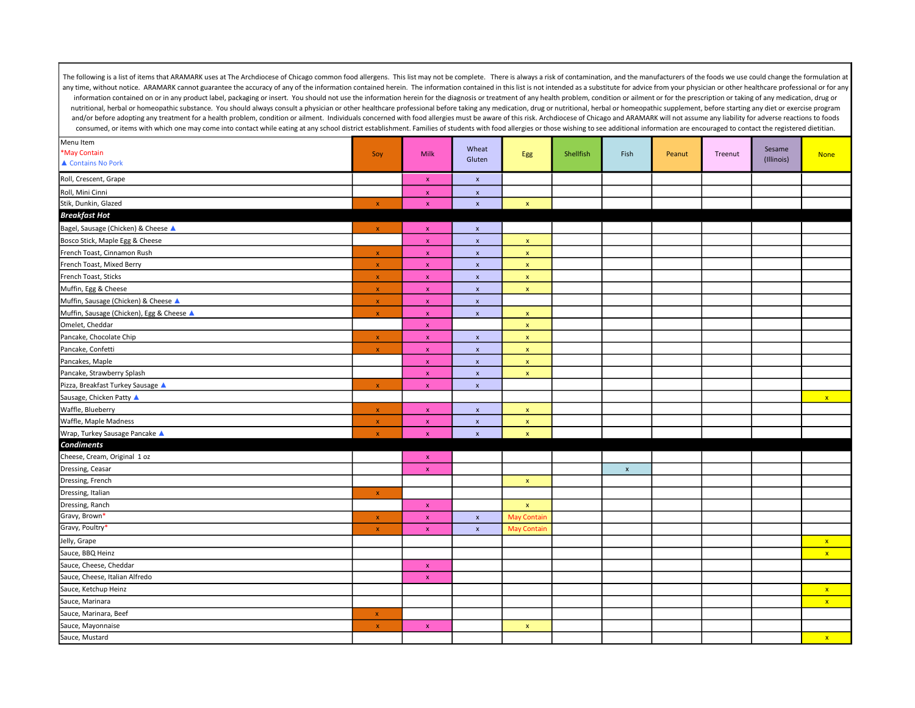| Menu Item                                 |                           |                           |                           |                    |           |                           |        |         |                      |              |
|-------------------------------------------|---------------------------|---------------------------|---------------------------|--------------------|-----------|---------------------------|--------|---------|----------------------|--------------|
| *May Contain                              | Soy                       | Milk                      | Wheat<br>Gluten           | Egg                | Shellfish | Fish                      | Peanut | Treenut | Sesame<br>(Illinois) | <b>None</b>  |
| ▲ Contains No Pork                        |                           |                           |                           |                    |           |                           |        |         |                      |              |
| Roll, Crescent, Grape                     |                           | $\mathbf x$               | $\pmb{\mathsf{x}}$        |                    |           |                           |        |         |                      |              |
| Roll, Mini Cinni                          |                           | $\mathbf{x}$              | $\pmb{\chi}$              |                    |           |                           |        |         |                      |              |
| Stik, Dunkin, Glazed                      | $\pmb{\times}$            | $\pmb{\chi}$              | $\pmb{\mathsf{x}}$        | $\mathbf x$        |           |                           |        |         |                      |              |
| <b>Breakfast Hot</b>                      |                           |                           |                           |                    |           |                           |        |         |                      |              |
| Bagel, Sausage (Chicken) & Cheese A       | $\mathbf{x}$              | $\mathbf{x}$              | $\mathbf x$               |                    |           |                           |        |         |                      |              |
| Bosco Stick, Maple Egg & Cheese           |                           | $\pmb{\chi}$              | $\pmb{\mathsf{x}}$        | $\pmb{\mathsf{x}}$ |           |                           |        |         |                      |              |
| French Toast, Cinnamon Rush               | $\mathbf{x}$              | $\mathbf x$               | $\pmb{\mathsf{x}}$        | $\pmb{\mathsf{x}}$ |           |                           |        |         |                      |              |
| French Toast, Mixed Berry                 | $\bar{\mathbf{x}}$        | $\bar{\mathbf{x}}$        | $\boldsymbol{\mathsf{x}}$ | $\mathbf{x}$       |           |                           |        |         |                      |              |
| French Toast, Sticks                      | $\mathbf{x}$              | $\mathbf x$               | $\pmb{\mathsf{x}}$        | $\mathbf x$        |           |                           |        |         |                      |              |
| Muffin, Egg & Cheese                      | $\mathbf{x}$              | $\mathbf x$               | $\pmb{\mathsf{x}}$        | $\mathsf X$        |           |                           |        |         |                      |              |
| Muffin, Sausage (Chicken) & Cheese ▲      | $\mathbf{x}$              | $\mathbf{x}$              | $\pmb{\mathsf{x}}$        |                    |           |                           |        |         |                      |              |
| Muffin, Sausage (Chicken), Egg & Cheese ▲ | $\boldsymbol{\mathsf{X}}$ | $\mathbf{x}$              | $\pmb{\mathsf{x}}$        | $\mathsf{x}$       |           |                           |        |         |                      |              |
| Omelet, Cheddar                           |                           | $\mathbf x$               |                           | $\mathbf x$        |           |                           |        |         |                      |              |
| Pancake, Chocolate Chip                   | $\mathbf{x}$              | $\mathbf x$               | $\pmb{\mathsf{x}}$        | $\mathbf x$        |           |                           |        |         |                      |              |
| Pancake, Confetti                         | $\mathbf x$               | $\mathbf x$               | $\pmb{\mathsf{x}}$        | $\mathbf{x}$       |           |                           |        |         |                      |              |
| Pancakes, Maple                           |                           | $\mathbf{x}$              | $\pmb{\mathsf{x}}$        | $\mathbf{x}$       |           |                           |        |         |                      |              |
| Pancake, Strawberry Splash                |                           | $\mathbf{x}$              | $\pmb{\mathsf{x}}$        | $\mathbf x$        |           |                           |        |         |                      |              |
| Pizza, Breakfast Turkey Sausage ▲         | $\mathbf{x}$              | $\mathbf{x}$              | $\boldsymbol{\mathsf{x}}$ |                    |           |                           |        |         |                      |              |
| Sausage, Chicken Patty ▲                  |                           |                           |                           |                    |           |                           |        |         |                      | $\mathbf{x}$ |
| Waffle, Blueberry                         | $\pmb{\chi}$              | $\pmb{\chi}$              | $\pmb{\mathsf{x}}$        | $\mathbf x$        |           |                           |        |         |                      |              |
| Waffle, Maple Madness                     | $\pmb{\chi}$              | $\mathbf{x}$              | $\pmb{\times}$            | $\pmb{\mathsf{x}}$ |           |                           |        |         |                      |              |
| Wrap, Turkey Sausage Pancake              | $\mathbf x$               | $\bar{\mathbf{x}}$        | $\pmb{\chi}$              | $\mathbf x$        |           |                           |        |         |                      |              |
| <b>Condiments</b>                         |                           |                           |                           |                    |           |                           |        |         |                      |              |
| Cheese, Cream, Original 1 oz              |                           | $\mathbf{x}$              |                           |                    |           |                           |        |         |                      |              |
| Dressing, Ceasar                          |                           | $\mathbf x$               |                           |                    |           | $\boldsymbol{\mathsf{x}}$ |        |         |                      |              |
| Dressing, French                          |                           |                           |                           | $\mathbf x$        |           |                           |        |         |                      |              |
| Dressing, Italian                         | $\mathbf x$               |                           |                           |                    |           |                           |        |         |                      |              |
| Dressing, Ranch                           |                           | $\mathbf{x}$              |                           | $\pmb{\mathsf{x}}$ |           |                           |        |         |                      |              |
| Gravy, Brown*                             | $\pmb{\times}$            | $\boldsymbol{\mathsf{X}}$ | $\pmb{\mathsf{x}}$        | <b>May Contain</b> |           |                           |        |         |                      |              |
| Gravy, Poultry*                           | $\pmb{\chi}$              | $\mathbf x$               | $\pmb{\times}$            | <b>May Contain</b> |           |                           |        |         |                      |              |
| Jelly, Grape                              |                           |                           |                           |                    |           |                           |        |         |                      | $\mathbf{x}$ |
| Sauce, BBQ Heinz                          |                           |                           |                           |                    |           |                           |        |         |                      | $\mathbf{x}$ |
| Sauce, Cheese, Cheddar                    |                           | $\mathbf x$               |                           |                    |           |                           |        |         |                      |              |
| Sauce, Cheese, Italian Alfredo            |                           | $\mathbf x$               |                           |                    |           |                           |        |         |                      |              |
| Sauce, Ketchup Heinz                      |                           |                           |                           |                    |           |                           |        |         |                      | $\mathbf{x}$ |
| Sauce, Marinara                           |                           |                           |                           |                    |           |                           |        |         |                      | $\mathbf{x}$ |
| Sauce, Marinara, Beef                     | $\pmb{\mathsf{x}}$        |                           |                           |                    |           |                           |        |         |                      |              |
| Sauce, Mayonnaise                         | $\boldsymbol{\mathsf{X}}$ | $\mathbf{x}$              |                           | $\mathsf{x}$       |           |                           |        |         |                      |              |
| Sauce, Mustard                            |                           |                           |                           |                    |           |                           |        |         |                      | $\mathbf{x}$ |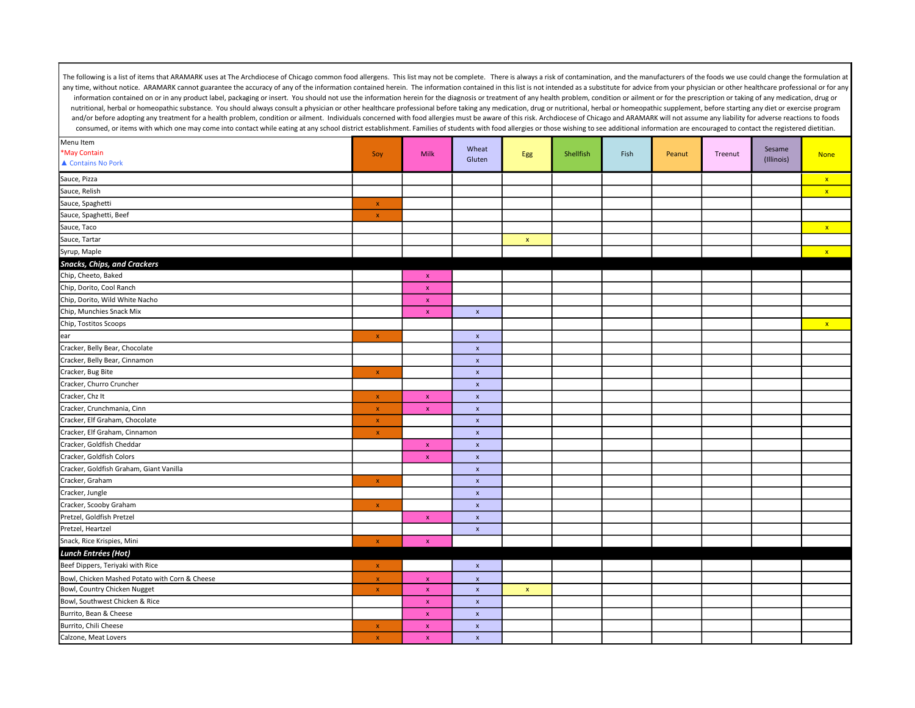| Menu Item                                      |                    |                    |                    |             |           |      |        |         |                      |              |
|------------------------------------------------|--------------------|--------------------|--------------------|-------------|-----------|------|--------|---------|----------------------|--------------|
| *May Contain                                   | Soy                | <b>Milk</b>        | Wheat<br>Gluten    | Egg         | Shellfish | Fish | Peanut | Treenut | Sesame<br>(Illinois) | <b>None</b>  |
| ▲ Contains No Pork                             |                    |                    |                    |             |           |      |        |         |                      |              |
| Sauce, Pizza                                   |                    |                    |                    |             |           |      |        |         |                      | $\mathbf{x}$ |
| Sauce, Relish                                  |                    |                    |                    |             |           |      |        |         |                      | $\mathbf{x}$ |
| Sauce, Spaghetti                               | $\mathbf x$        |                    |                    |             |           |      |        |         |                      |              |
| Sauce, Spaghetti, Beef                         | $\mathbf x$        |                    |                    |             |           |      |        |         |                      |              |
| Sauce, Taco                                    |                    |                    |                    |             |           |      |        |         |                      | $\mathbf{x}$ |
| Sauce, Tartar                                  |                    |                    |                    | $\mathbf x$ |           |      |        |         |                      |              |
| Syrup, Maple                                   |                    |                    |                    |             |           |      |        |         |                      | $\mathbf{x}$ |
| <b>Snacks, Chips, and Crackers</b>             |                    |                    |                    |             |           |      |        |         |                      |              |
| Chip, Cheeto, Baked                            |                    | $\mathbf{x}$       |                    |             |           |      |        |         |                      |              |
| Chip, Dorito, Cool Ranch                       |                    | $\mathbf x$        |                    |             |           |      |        |         |                      |              |
| Chip, Dorito, Wild White Nacho                 |                    | $\mathbf x$        |                    |             |           |      |        |         |                      |              |
| Chip, Munchies Snack Mix                       |                    | $\mathbf{x}$       | $\pmb{\mathsf{x}}$ |             |           |      |        |         |                      |              |
| Chip, Tostitos Scoops                          |                    |                    |                    |             |           |      |        |         |                      | $\mathbf{x}$ |
| ear                                            | $\pmb{\mathsf{x}}$ |                    | $\pmb{\mathsf{x}}$ |             |           |      |        |         |                      |              |
| Cracker, Belly Bear, Chocolate                 |                    |                    | $\pmb{\mathsf{x}}$ |             |           |      |        |         |                      |              |
| Cracker, Belly Bear, Cinnamon                  |                    |                    | $\pmb{\mathsf{x}}$ |             |           |      |        |         |                      |              |
| Cracker, Bug Bite                              | $\pmb{\chi}$       |                    | $\pmb{\mathsf{x}}$ |             |           |      |        |         |                      |              |
| Cracker, Churro Cruncher                       |                    |                    | $\pmb{\mathsf{x}}$ |             |           |      |        |         |                      |              |
| Cracker, Chz It                                | $\pmb{\mathsf{x}}$ | $\mathbf x$        | $\pmb{\mathsf{x}}$ |             |           |      |        |         |                      |              |
| Cracker, Crunchmania, Cinn                     | $\pmb{\chi}$       | $\mathsf X$        | $\pmb{\mathsf{x}}$ |             |           |      |        |         |                      |              |
| Cracker, Elf Graham, Chocolate                 | $\mathbf{x}$       |                    | $\pmb{\chi}$       |             |           |      |        |         |                      |              |
| Cracker, Elf Graham, Cinnamon                  | $\pmb{\chi}$       |                    | $\pmb{\mathsf{x}}$ |             |           |      |        |         |                      |              |
| Cracker, Goldfish Cheddar                      |                    | $\mathbf x$        | $\pmb{\mathsf{x}}$ |             |           |      |        |         |                      |              |
| Cracker, Goldfish Colors                       |                    | $\mathbf{x}$       | $\pmb{\mathsf{x}}$ |             |           |      |        |         |                      |              |
| Cracker, Goldfish Graham, Giant Vanilla        |                    |                    | $\pmb{\mathsf{x}}$ |             |           |      |        |         |                      |              |
| Cracker, Graham                                | $\pmb{\chi}$       |                    | $\pmb{\mathsf{x}}$ |             |           |      |        |         |                      |              |
| Cracker, Jungle                                |                    |                    | $\pmb{\mathsf{x}}$ |             |           |      |        |         |                      |              |
| Cracker, Scooby Graham                         | $\pmb{\chi}$       |                    | $\pmb{\mathsf{x}}$ |             |           |      |        |         |                      |              |
| Pretzel, Goldfish Pretzel                      |                    | $\mathbf x$        | $\pmb{\mathsf{x}}$ |             |           |      |        |         |                      |              |
| Pretzel, Heartzel                              |                    |                    | $\pmb{\chi}$       |             |           |      |        |         |                      |              |
| Snack, Rice Krispies, Mini                     | $\bar{\mathbf{x}}$ | $\bar{\mathbf{x}}$ |                    |             |           |      |        |         |                      |              |
| Lunch Entrées (Hot)                            |                    |                    |                    |             |           |      |        |         |                      |              |
| Beef Dippers, Teriyaki with Rice               | $\mathbf x$        |                    | $\pmb{\mathsf{x}}$ |             |           |      |        |         |                      |              |
| Bowl, Chicken Mashed Potato with Corn & Cheese | $\mathbf{x}$       | $\mathbf{x}$       | $\pmb{\chi}$       |             |           |      |        |         |                      |              |
| Bowl, Country Chicken Nugget                   | $\pmb{\chi}$       | $\mathbf{x}$       | $\pmb{\mathsf{x}}$ | $\mathbf x$ |           |      |        |         |                      |              |
| Bowl, Southwest Chicken & Rice                 |                    | $\pmb{\chi}$       | $\pmb{\mathsf{x}}$ |             |           |      |        |         |                      |              |
| Burrito, Bean & Cheese                         |                    | $\mathbf x$        | $\pmb{\mathsf{x}}$ |             |           |      |        |         |                      |              |
| Burrito, Chili Cheese                          | $\mathbf x$        | $\mathbf{x}$       | $\mathbf{x}$       |             |           |      |        |         |                      |              |
| Calzone, Meat Lovers                           | $\mathbf x$        | $\mathsf X$        | $\pmb{\mathsf{x}}$ |             |           |      |        |         |                      |              |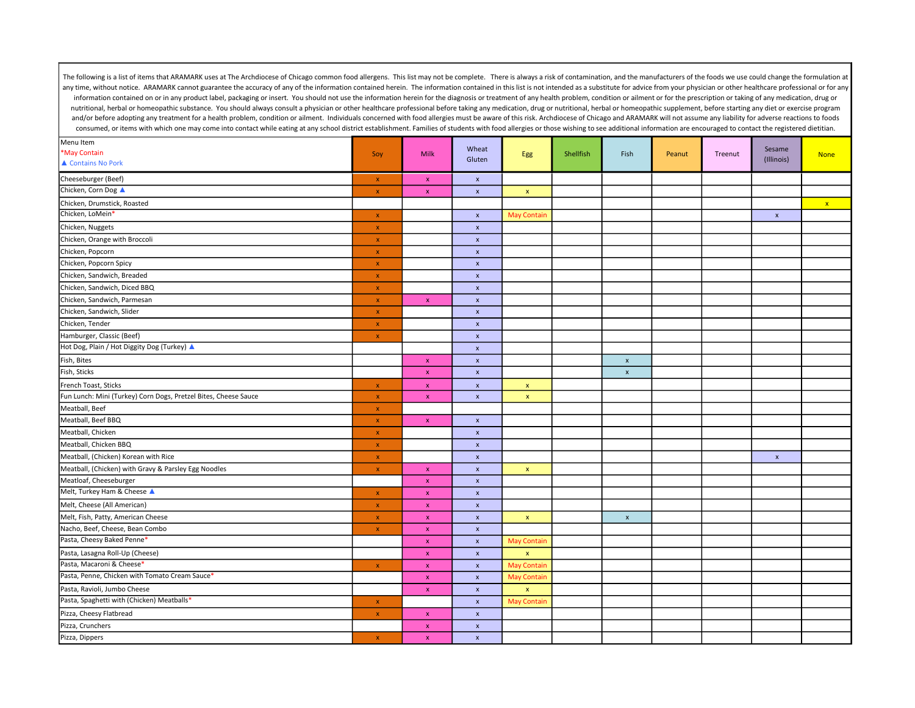| Menu Item                                                       |                           |                           | Wheat                     |                    |           |                           |        |         | Sesame             |              |
|-----------------------------------------------------------------|---------------------------|---------------------------|---------------------------|--------------------|-----------|---------------------------|--------|---------|--------------------|--------------|
| *May Contain                                                    | Soy                       | <b>Milk</b>               | Gluten                    | Egg                | Shellfish | Fish                      | Peanut | Treenut | (Illinois)         | <b>None</b>  |
| ▲ Contains No Pork                                              |                           |                           |                           |                    |           |                           |        |         |                    |              |
| Cheeseburger (Beef)                                             | $\pmb{\mathsf{x}}$        | $\pmb{\chi}$              | $\pmb{\mathsf{x}}$        |                    |           |                           |        |         |                    |              |
| Chicken, Corn Dog ▲                                             | $\mathbf{x}$              | $\pmb{\chi}$              | $\pmb{\chi}$              | $\mathbf x$        |           |                           |        |         |                    |              |
| Chicken, Drumstick, Roasted                                     |                           |                           |                           |                    |           |                           |        |         |                    | $\mathbf{x}$ |
| Chicken, LoMein*                                                | $\mathbf{x}$              |                           | $\pmb{\mathsf{x}}$        | <b>May Contain</b> |           |                           |        |         | $\pmb{\mathsf{x}}$ |              |
| Chicken, Nuggets                                                | $\pmb{\mathsf{x}}$        |                           | $\pmb{\mathsf{x}}$        |                    |           |                           |        |         |                    |              |
| Chicken, Orange with Broccoli                                   | $\mathbf x$               |                           | $\pmb{\mathsf{x}}$        |                    |           |                           |        |         |                    |              |
| Chicken, Popcorn                                                | $\mathbf{x}$              |                           | $\boldsymbol{\mathsf{x}}$ |                    |           |                           |        |         |                    |              |
| Chicken, Popcorn Spicy                                          | $\pmb{\chi}$              |                           | $\pmb{\mathsf{x}}$        |                    |           |                           |        |         |                    |              |
| Chicken, Sandwich, Breaded                                      | $\pmb{\mathsf{X}}$        |                           | $\pmb{\mathsf{x}}$        |                    |           |                           |        |         |                    |              |
| Chicken, Sandwich, Diced BBQ                                    | $\pmb{\chi}$              |                           | $\boldsymbol{\mathsf{x}}$ |                    |           |                           |        |         |                    |              |
| Chicken, Sandwich, Parmesan                                     | $\mathbf x$               | $\mathsf X$               | $\pmb{\mathsf{x}}$        |                    |           |                           |        |         |                    |              |
| Chicken, Sandwich, Slider                                       | $\pmb{\chi}$              |                           | $\pmb{\chi}$              |                    |           |                           |        |         |                    |              |
| Chicken, Tender                                                 | $\mathbf{x}$              |                           | $\pmb{\chi}$              |                    |           |                           |        |         |                    |              |
| Hamburger, Classic (Beef)                                       | $\pmb{\mathsf{x}}$        |                           | $\pmb{\mathsf{x}}$        |                    |           |                           |        |         |                    |              |
| Hot Dog, Plain / Hot Diggity Dog (Turkey) ▲                     |                           |                           | $\pmb{\chi}$              |                    |           |                           |        |         |                    |              |
| Fish, Bites                                                     |                           | $\pmb{\chi}$              | $\pmb{\chi}$              |                    |           | $\boldsymbol{\mathsf{x}}$ |        |         |                    |              |
| Fish, Sticks                                                    |                           | $\mathbf{x}$              | $\pmb{\mathsf{x}}$        |                    |           | $\boldsymbol{\mathsf{x}}$ |        |         |                    |              |
| French Toast, Sticks                                            | $\mathbf{x}$              | $\pmb{\chi}$              | $\pmb{\mathsf{x}}$        | $\mathbf x$        |           |                           |        |         |                    |              |
| Fun Lunch: Mini (Turkey) Corn Dogs, Pretzel Bites, Cheese Sauce | $\mathbf x$               | $\pmb{\mathsf{x}}$        | $\pmb{\mathsf{x}}$        | $\pmb{\mathsf{x}}$ |           |                           |        |         |                    |              |
| Meatball, Beef                                                  | $\mathbf x$               |                           |                           |                    |           |                           |        |         |                    |              |
| Meatball, Beef BBQ                                              | $\mathbf x$               | $\pmb{\chi}$              | $\pmb{\chi}$              |                    |           |                           |        |         |                    |              |
| Meatball, Chicken                                               | $\mathbf{x}$              |                           | $\pmb{\mathsf{x}}$        |                    |           |                           |        |         |                    |              |
| Meatball, Chicken BBQ                                           | $\pmb{\chi}$              |                           | $\pmb{\times}$            |                    |           |                           |        |         |                    |              |
| Meatball, (Chicken) Korean with Rice                            | $\mathbf{x}$              |                           | $\boldsymbol{\mathsf{x}}$ |                    |           |                           |        |         | $\pmb{\mathsf{x}}$ |              |
| Meatball, (Chicken) with Gravy & Parsley Egg Noodles            | $\mathbf{x}$              | $\pmb{\chi}$              | $\pmb{\times}$            | $\pmb{\mathsf{x}}$ |           |                           |        |         |                    |              |
| Meatloaf, Cheeseburger                                          |                           | $\pmb{\chi}$              | $\pmb{\mathsf{x}}$        |                    |           |                           |        |         |                    |              |
| Melt, Turkey Ham & Cheese A                                     | $\mathbf{x}$              | $\pmb{\chi}$              | $\pmb{\mathsf{x}}$        |                    |           |                           |        |         |                    |              |
| Melt, Cheese (All American)                                     | $\pmb{\mathsf{x}}$        | $\mathsf{x}$              | $\pmb{\mathsf{x}}$        |                    |           |                           |        |         |                    |              |
| Melt, Fish, Patty, American Cheese                              | $\pmb{\chi}$              | $\mathbf x$               | $\pmb{\times}$            | $\mathbf x$        |           | $\pmb{\times}$            |        |         |                    |              |
| Nacho, Beef, Cheese, Bean Combo                                 | $\pmb{\chi}$              | $\pmb{\mathsf{x}}$        | $\pmb{\mathsf{x}}$        |                    |           |                           |        |         |                    |              |
| Pasta, Cheesy Baked Penne*                                      |                           | $\mathbf{x}$              | $\pmb{\mathsf{x}}$        | <b>May Contain</b> |           |                           |        |         |                    |              |
| Pasta, Lasagna Roll-Up (Cheese)                                 |                           | $\boldsymbol{\mathsf{X}}$ | $\boldsymbol{\mathsf{x}}$ | $\pmb{\mathsf{x}}$ |           |                           |        |         |                    |              |
| Pasta, Macaroni & Cheese*                                       | $\boldsymbol{\mathsf{x}}$ | $\mathbf{x}$              | $\pmb{\mathsf{x}}$        | <b>May Contain</b> |           |                           |        |         |                    |              |
| Pasta, Penne, Chicken with Tomato Cream Sauce*                  |                           | $\pmb{\chi}$              | $\pmb{\mathsf{x}}$        | <b>May Contain</b> |           |                           |        |         |                    |              |
| Pasta, Ravioli, Jumbo Cheese                                    |                           | $\mathbf{x}$              | $\pmb{\chi}$              | $\mathbf{x}$       |           |                           |        |         |                    |              |
| Pasta, Spaghetti with (Chicken) Meatballs*                      | $\mathbf x$               |                           | $\pmb{\mathsf{x}}$        | <b>May Contain</b> |           |                           |        |         |                    |              |
| Pizza, Cheesy Flatbread                                         | $\pmb{\mathsf{x}}$        | $\mathsf{x}$              | $\pmb{\mathsf{x}}$        |                    |           |                           |        |         |                    |              |
| Pizza, Crunchers                                                |                           | $\mathbf{x}$              | $\pmb{\chi}$              |                    |           |                           |        |         |                    |              |
| Pizza, Dippers                                                  | $\mathbf{x}$              | $\boldsymbol{\mathsf{X}}$ | $\pmb{\mathsf{x}}$        |                    |           |                           |        |         |                    |              |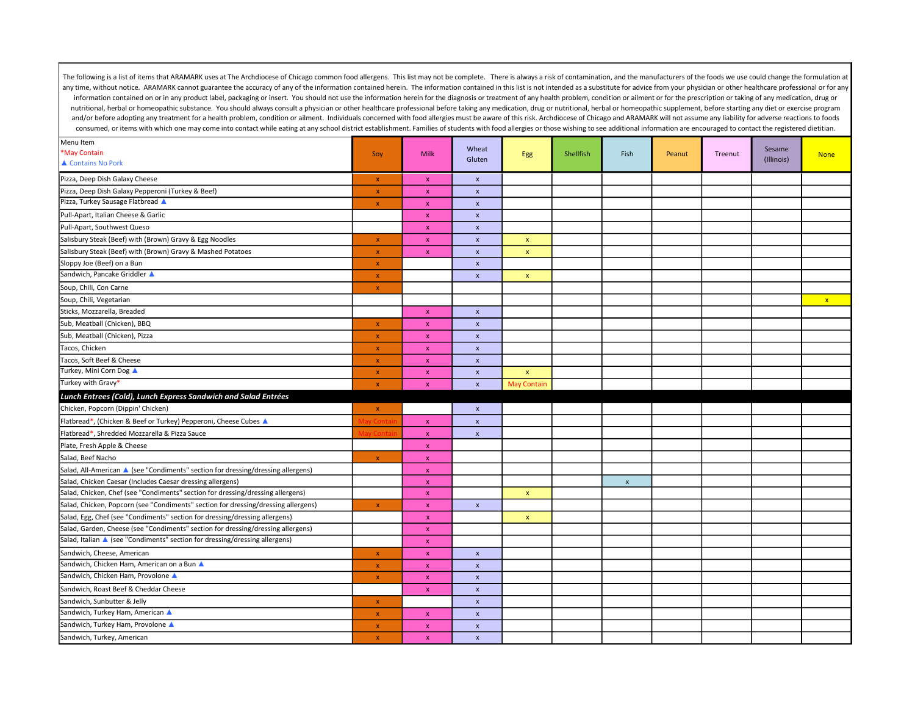| Menu Item                                                                          |                    |                    | Wheat                     |                    |           |                |        |         | Sesame     |              |
|------------------------------------------------------------------------------------|--------------------|--------------------|---------------------------|--------------------|-----------|----------------|--------|---------|------------|--------------|
| *May Contain                                                                       | Soy                | <b>Milk</b>        | Gluten                    | <b>Egg</b>         | Shellfish | Fish           | Peanut | Treenut | (Illinois) | <b>None</b>  |
| ▲ Contains No Pork                                                                 |                    |                    |                           |                    |           |                |        |         |            |              |
| Pizza, Deep Dish Galaxy Cheese                                                     | $\mathbf{x}$       | $\pmb{\chi}$       | $\pmb{\chi}$              |                    |           |                |        |         |            |              |
| Pizza, Deep Dish Galaxy Pepperoni (Turkey & Beef)                                  | $\mathbf{x}$       | $\pmb{\chi}$       | $\pmb{\chi}$              |                    |           |                |        |         |            |              |
| Pizza, Turkey Sausage Flatbread                                                    | $\pmb{\chi}$       | $\pmb{\chi}$       | $\pmb{\chi}$              |                    |           |                |        |         |            |              |
| Pull-Apart, Italian Cheese & Garlic                                                |                    | $\mathsf X$        | $\pmb{\mathsf{x}}$        |                    |           |                |        |         |            |              |
| Pull-Apart, Southwest Queso                                                        |                    | $\pmb{\mathsf{x}}$ | $\pmb{\times}$            |                    |           |                |        |         |            |              |
| Salisbury Steak (Beef) with (Brown) Gravy & Egg Noodles                            | $\pmb{\mathsf{x}}$ | $\pmb{\chi}$       | $\pmb{\times}$            | $\pmb{\mathsf{x}}$ |           |                |        |         |            |              |
| Salisbury Steak (Beef) with (Brown) Gravy & Mashed Potatoes                        | $\mathbf x$        | $\pmb{\chi}$       | $\boldsymbol{\mathsf{x}}$ | $\pmb{\mathsf{x}}$ |           |                |        |         |            |              |
| Sloppy Joe (Beef) on a Bun                                                         | $\pmb{\chi}$       |                    | $\mathbf{x}$              |                    |           |                |        |         |            |              |
| Sandwich, Pancake Griddler A                                                       | $\pmb{\mathsf{X}}$ |                    | $\pmb{\mathsf{x}}$        | $\pmb{\mathsf{x}}$ |           |                |        |         |            |              |
| Soup, Chili, Con Carne                                                             | $\pmb{\chi}$       |                    |                           |                    |           |                |        |         |            |              |
| Soup, Chili, Vegetarian                                                            |                    |                    |                           |                    |           |                |        |         |            | $\mathbf{x}$ |
| Sticks, Mozzarella, Breaded                                                        |                    | $\mathsf X$        | $\pmb{\chi}$              |                    |           |                |        |         |            |              |
| Sub, Meatball (Chicken), BBQ                                                       | $\mathbf x$        | $\mathsf X$        | $\pmb{\times}$            |                    |           |                |        |         |            |              |
| Sub, Meatball (Chicken), Pizza                                                     | $\pmb{\chi}$       | $\pmb{\mathsf{X}}$ | $\pmb{\times}$            |                    |           |                |        |         |            |              |
| Tacos, Chicken                                                                     | $\pmb{\chi}$       | $\pmb{\chi}$       | $\pmb{\chi}$              |                    |           |                |        |         |            |              |
| Tacos, Soft Beef & Cheese                                                          | $\mathbf{x}$       | $\pmb{\chi}$       | $\pmb{\chi}$              |                    |           |                |        |         |            |              |
| Turkey, Mini Corn Dog ▲                                                            | $\pmb{\chi}$       | $\mathbf{x}$       | $\pmb{\chi}$              | $\pmb{\mathsf{x}}$ |           |                |        |         |            |              |
| Turkey with Gravy*                                                                 | $\pmb{\chi}$       | $\pmb{\mathsf{x}}$ | $\pmb{\mathsf{x}}$        | <b>May Contain</b> |           |                |        |         |            |              |
| Lunch Entrees (Cold), Lunch Express Sandwich and Salad Entrées                     |                    |                    |                           |                    |           |                |        |         |            |              |
| Chicken, Popcorn (Dippin' Chicken)                                                 | $\mathbf{x}$       |                    | $\mathbf{x}$              |                    |           |                |        |         |            |              |
| Flatbread*, (Chicken & Beef or Turkey) Pepperoni, Cheese Cubes ▲                   |                    | $\mathbf{x}$       | $\pmb{\chi}$              |                    |           |                |        |         |            |              |
| Flatbread*, Shredded Mozzarella & Pizza Sauce                                      |                    | $\pmb{\chi}$       | $\pmb{\mathsf{x}}$        |                    |           |                |        |         |            |              |
| Plate, Fresh Apple & Cheese                                                        |                    | $\mathbf{x}$       |                           |                    |           |                |        |         |            |              |
| Salad, Beef Nacho                                                                  | $\pmb{\chi}$       | $\mathbf x$        |                           |                    |           |                |        |         |            |              |
| Salad, All-American ▲ (see "Condiments" section for dressing/dressing allergens)   |                    | $\mathbf{x}$       |                           |                    |           |                |        |         |            |              |
| Salad, Chicken Caesar (Includes Caesar dressing allergens)                         |                    | $\pmb{\chi}$       |                           |                    |           | $\pmb{\times}$ |        |         |            |              |
| Salad, Chicken, Chef (see "Condiments" section for dressing/dressing allergens)    |                    | $\mathbf{x}$       |                           | $\pmb{\mathsf{x}}$ |           |                |        |         |            |              |
| Salad, Chicken, Popcorn (see "Condiments" section for dressing/dressing allergens) | $\pmb{\mathsf{x}}$ | $\pmb{\chi}$       | $\pmb{\mathsf{x}}$        |                    |           |                |        |         |            |              |
| Salad, Egg, Chef (see "Condiments" section for dressing/dressing allergens)        |                    | $\mathbf{x}$       |                           | $\pmb{\mathsf{x}}$ |           |                |        |         |            |              |
| Salad, Garden, Cheese (see "Condiments" section for dressing/dressing allergens)   |                    | $\mathsf X$        |                           |                    |           |                |        |         |            |              |
| Salad, Italian A (see "Condiments" section for dressing/dressing allergens)        |                    | $\mathbf x$        |                           |                    |           |                |        |         |            |              |
| Sandwich, Cheese, American                                                         | $\pmb{\mathsf{x}}$ | $\mathbf x$        | $\pmb{\mathsf{x}}$        |                    |           |                |        |         |            |              |
| Sandwich, Chicken Ham, American on a Bun ▲                                         | $\pmb{\mathsf{x}}$ | $\mathsf{x}$       | $\pmb{\chi}$              |                    |           |                |        |         |            |              |
| Sandwich, Chicken Ham, Provolone ▲                                                 | $\pmb{\mathsf{x}}$ | $\mathbf{x}$       | $\pmb{\mathsf{x}}$        |                    |           |                |        |         |            |              |
| Sandwich, Roast Beef & Cheddar Cheese                                              |                    | $\mathsf X$        | $\pmb{\chi}$              |                    |           |                |        |         |            |              |
| Sandwich, Sunbutter & Jelly                                                        | $\bar{\mathbf{x}}$ |                    | $\pmb{\chi}$              |                    |           |                |        |         |            |              |
| Sandwich, Turkey Ham, American ▲                                                   | $\mathbf{x}$       | $\mathsf X$        | $\pmb{\mathsf{x}}$        |                    |           |                |        |         |            |              |
| Sandwich, Turkey Ham, Provolone A                                                  | $\pmb{\chi}$       | $\pmb{\chi}$       | $\pmb{\chi}$              |                    |           |                |        |         |            |              |
| Sandwich, Turkey, American                                                         | $\pmb{\chi}$       | $\pmb{\chi}$       | $\pmb{\chi}$              |                    |           |                |        |         |            |              |